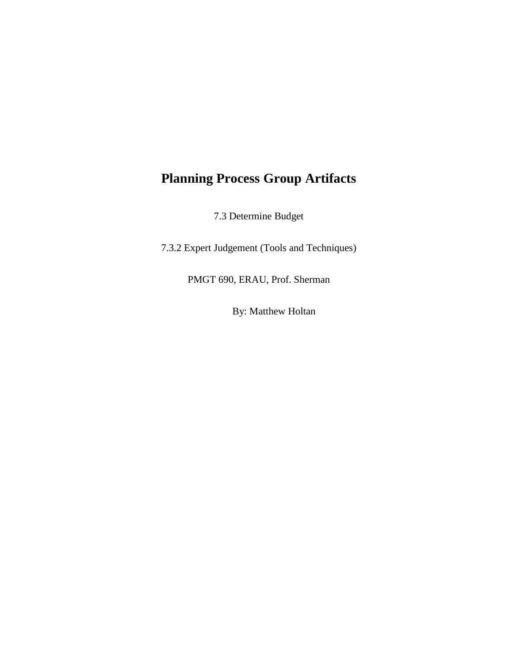## **Planning Process Group Artifacts**

7.3 Determine Budget

7.3.2 Expert Judgement (Tools and Techniques)

PMGT 690, ERAU, Prof. Sherman

By: Matthew Holtan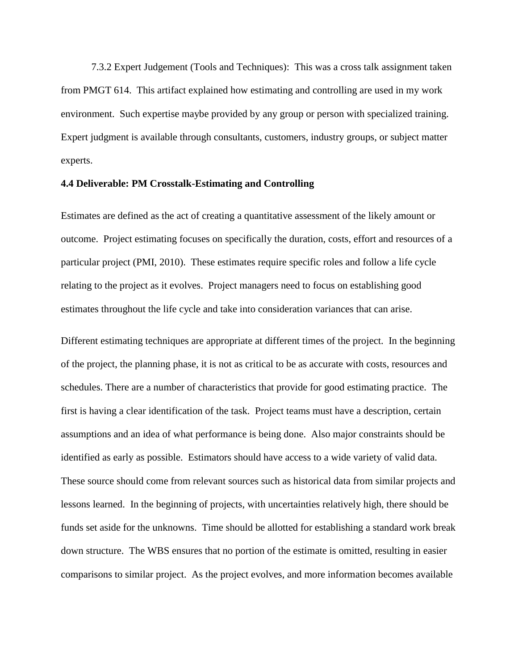7.3.2 Expert Judgement (Tools and Techniques): This was a cross talk assignment taken from PMGT 614. This artifact explained how estimating and controlling are used in my work environment. Such expertise maybe provided by any group or person with specialized training. Expert judgment is available through consultants, customers, industry groups, or subject matter experts.

## **4.4 Deliverable: PM Crosstalk-Estimating and Controlling**

Estimates are defined as the act of creating a quantitative assessment of the likely amount or outcome. Project estimating focuses on specifically the duration, costs, effort and resources of a particular project (PMI, 2010). These estimates require specific roles and follow a life cycle relating to the project as it evolves. Project managers need to focus on establishing good estimates throughout the life cycle and take into consideration variances that can arise.

Different estimating techniques are appropriate at different times of the project. In the beginning of the project, the planning phase, it is not as critical to be as accurate with costs, resources and schedules. There are a number of characteristics that provide for good estimating practice. The first is having a clear identification of the task. Project teams must have a description, certain assumptions and an idea of what performance is being done. Also major constraints should be identified as early as possible. Estimators should have access to a wide variety of valid data. These source should come from relevant sources such as historical data from similar projects and lessons learned. In the beginning of projects, with uncertainties relatively high, there should be funds set aside for the unknowns. Time should be allotted for establishing a standard work break down structure. The WBS ensures that no portion of the estimate is omitted, resulting in easier comparisons to similar project. As the project evolves, and more information becomes available